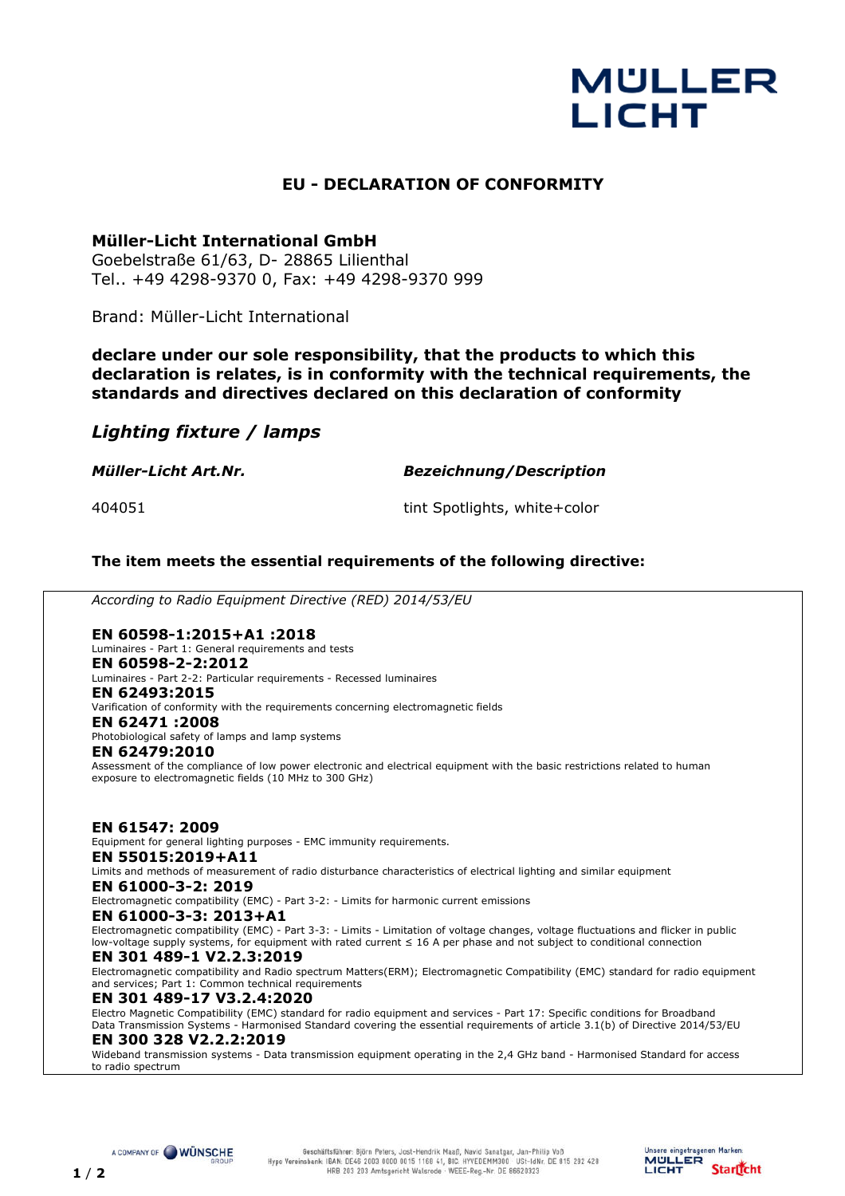# **MULLER LICHT**

## **EU - DECLARATION OF CONFORMITY**

## **Müller-Licht International GmbH**

Goebelstraße 61/63, D- 28865 Lilienthal Tel.. +49 4298-9370 0, Fax: +49 4298-9370 999

Brand: Müller-Licht International

**declare under our sole responsibility, that the products to which this declaration is relates, is in conformity with the technical requirements, the standards and directives declared on this declaration of conformity**

## *Lighting fixture / lamps*

*Müller-Licht Art.Nr. Bezeichnung/Description*

404051 tint Spotlights, white+color

## **The item meets the essential requirements of the following directive:**

*According to Radio Equipment Directive (RED) 2014/53/EU*

### **EN 60598-1:2015+A1 :2018**

Luminaires - Part 1: General requirements and tests

## **EN 60598-2-2:2012**

Luminaires - Part 2-2: Particular requirements - Recessed luminaires **EN 62493:2015** 

#### Varification of conformity with the requirements concerning electromagnetic fields **EN 62471 :2008**

Photobiological safety of lamps and lamp systems

#### **EN 62479:2010**

Assessment of the compliance of low power electronic and electrical equipment with the basic restrictions related to human exposure to electromagnetic fields (10 MHz to 300 GHz)

**EN 61547: 2009**  Equipment for general lighting purposes - EMC immunity requirements. **EN 55015:2019+A11**  Limits and methods of measurement of radio disturbance characteristics of electrical lighting and similar equipment **EN 61000-3-2: 2019**  Electromagnetic compatibility (EMC) - Part 3-2: - Limits for harmonic current emissions

**EN 61000-3-3: 2013+A1** 

Electromagnetic compatibility (EMC) - Part 3-3: - Limits - Limitation of voltage changes, voltage fluctuations and flicker in public low-voltage supply systems, for equipment with rated current ≤ 16 A per phase and not subject to conditional connection

#### **EN 301 489-1 V2.2.3:2019**

Electromagnetic compatibility and Radio spectrum Matters(ERM); Electromagnetic Compatibility (EMC) standard for radio equipment and services; Part 1: Common technical requirements

#### **EN 301 489-17 V3.2.4:2020**

Electro Magnetic Compatibility (EMC) standard for radio equipment and services - Part 17: Specific conditions for Broadband Data Transmission Systems - Harmonised Standard covering the essential requirements of article 3.1(b) of Directive 2014/53/EU

### **EN 300 328 V2.2.2:2019**

Wideband transmission systems - Data transmission equipment operating in the 2,4 GHz band - Harmonised Standard for access to radio spectrum

A COMPANY OF WÜNSCHE